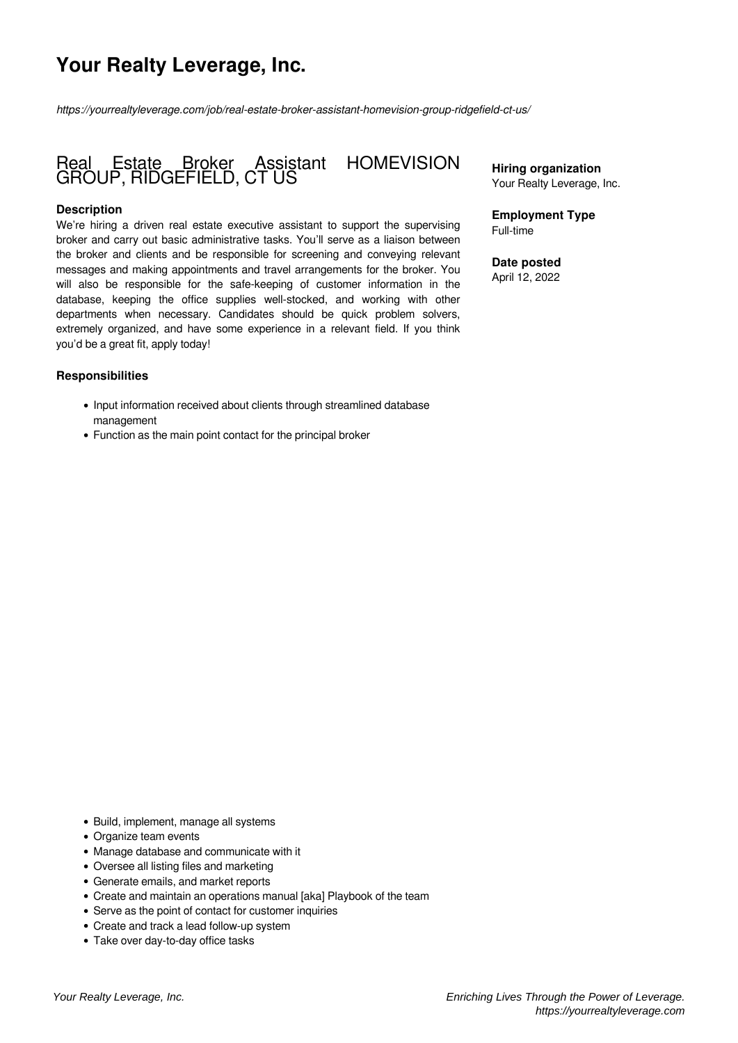# **Your Realty Leverage, Inc.**

*https://yourrealtyleverage.com/job/real-estate-broker-assistant-homevision-group-ridgefield-ct-us/*

# Real Estate Broker Assistant HOMEVISION GROUP, RIDGEFIELD, CT US

### **Description**

We're hiring a driven real estate executive assistant to support the supervising broker and carry out basic administrative tasks. You'll serve as a liaison between the broker and clients and be responsible for screening and conveying relevant messages and making appointments and travel arrangements for the broker. You will also be responsible for the safe-keeping of customer information in the database, keeping the office supplies well-stocked, and working with other departments when necessary. Candidates should be quick problem solvers, extremely organized, and have some experience in a relevant field. If you think you'd be a great fit, apply today!

#### **Responsibilities**

- Input information received about clients through streamlined database management
- Function as the main point contact for the principal broker

**Hiring organization** Your Realty Leverage, Inc.

**Employment Type** Full-time

**Date posted** April 12, 2022

- Build, implement, manage all systems
- Organize team events
- Manage database and communicate with it
- Oversee all listing files and marketing
- Generate emails, and market reports
- Create and maintain an operations manual [aka] Playbook of the team
- Serve as the point of contact for customer inquiries
- Create and track a lead follow-up system
- Take over day-to-day office tasks